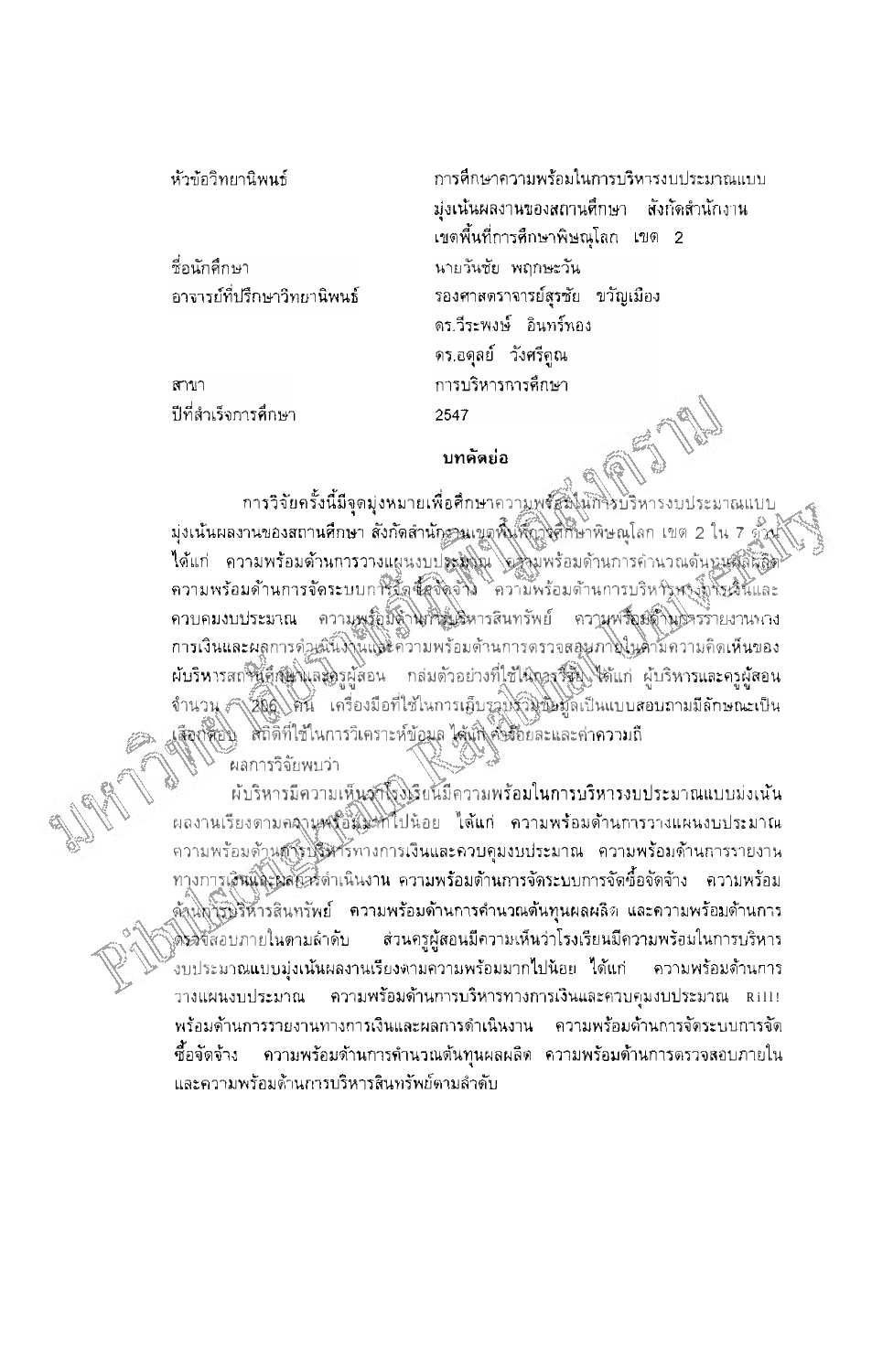ห้วข้อวิทยานิพนธ์

-<br>ชื่อนักศึกษา อาจารย์ที่ปรึกษาวิทยานิพนธ์

สาขา ปีที่สำเร็จการศึกษา

การศึกษาความพร้อมในการบริหารงบประมาณแบบ มุ่งเน้นผลงานของสถานศึกษา สังกัดสำนักงาน เขตพื้นที่การศึกษาพิษณุโลก เขต 2 นายวันชัย พฤกษะวัน รองศาสตราจารย์สุรชัย ขวัญเมือง ดร.วีระพงษ์ อินทร์ทอง ดร.อดุลย์ วังศรีคูณ การบริหารการศึกษา 2547

## บทคัดย่อ

กา**รวิจัยครั้งนี้มีจุดมุ่งหมายเพื่อศึกษา**ควา<u>มพรัสฟิ</u>นักวิ่งบริหารงบประมาณแบบ มุ่งเน้นผลงานของสถานศึกษา สังกัดสำนักรวนเขตพื้นที่ถูกิ่งศึกษาพิษณุโลก เขต 2 ใน 7 ตัวน้ ใต้แก่ ความพร้อมด้านการวางแผนงบประมงณ์ อะวันพร้อมด้านการคำนวณดันทุนสุดที่คุณ ความพร้อมด้านการจัดระบบการจัดซื้อชิตต่ำง ความพร้อมด้านการบริหารพรงที่งัฐเริ่นและ ควบคมงบประมาณ ความพรัญมีต่ำไม่ที่รับสีหารสนทรัพย์ ความพรัญญัติในปรรรายงานหาง การเงินและผลการดำหนังใจในเครือวามพร้อมด้านการดรวจสอบภายในดามความคิดเห็นของ ผับริหารสถานีส์สมุนิตริครูผู้สอน กล่มตัวอย่างที่ใช้ในการจีชิญ ได้แก่ ผู้บริหารและครูผู้สอน จำนวน รังอัญโตนี้ เครื่องมือที่ใช้ในการเอ็บราบรวินขึ้นข้อมูลเป็นแบบสอบถามมีลักษณะเป็น เสือก์ต้อง สถิติที่ใช้ในการวิเคราะห์ข้อมูล ได้เกิดขึ้งอัยละและค่าความถึ

้ผลการวิจัยพบว่า

ผับริหารมีความเห็นสู่ที่โรงเรียนมีความพร้อมในการบริหารงบประมาณแบบม่งเน้น หลงานเรียงตามคลานูหงอีสมะที่ไปน้อย ได้แก่ ความพร้อมด้านการวางแผนงบประมาณ ความพร้อมด้านสู่สุดพริหารทางการเงินและควบคุมงบประมาณ ความพร้อมด้านการรายงาน ทางการเสินและผลักครั้งกาเนินงาน ความพร้อมด้านการจัดระบบการจัดซื้อจัดจ้าง - ความพร้อม ูตั้งนการบริหารสินทรัพย์ ความพร้อมด้านการคำนวณต้นทุนผลผลิต และความพร้อมด้านการ ส่วนครูผู้สอนมีความเห็นว่าโรงเรียนมีความพร้อมในการบริหาร ด็รวิจัสอบภายในตามลำดับ ้งบประมาณแบบมุ่งเน้นผลงานเรียงตามความพร้อมมากไปน้อย ได้แก่ ความพร้อมด้านการ วางแผนงบประมาณ ้พร้อมด้านการรายงานทางการเงินและผลการดำเนินงาน ความพร้อมด้านการจัดระบบการจัด ้ ความพร้อมด้านการคำนวณต้นทุนผลผลิต ความพร้อมด้านการตรวจสอบภายใน ซื้อจัดจ้าง และความพร้อมต้านการบริหารสินทรัพย์ตามลำดับ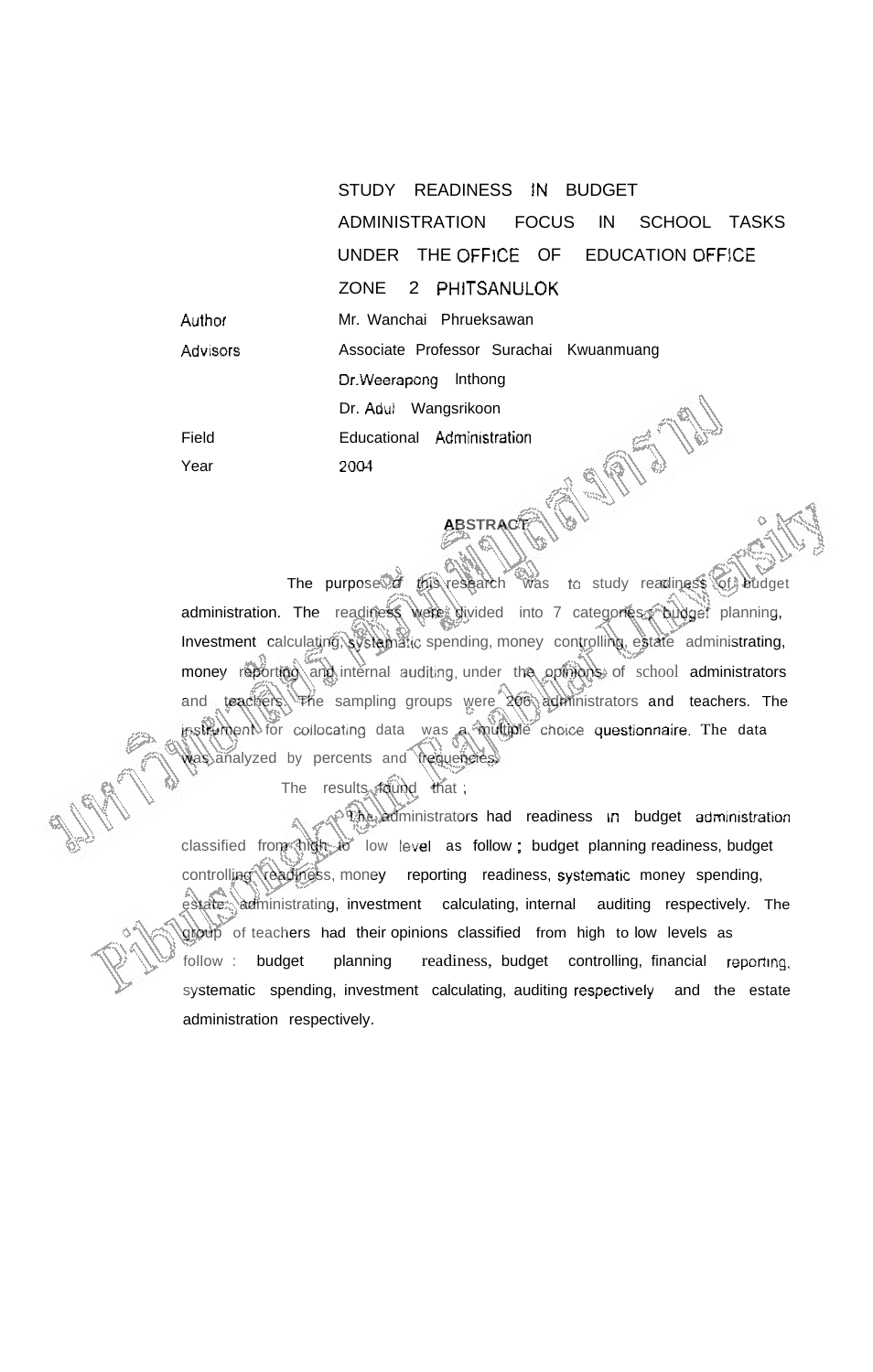STUDY READINESS IN BUDGET ADMINISTRATION FOCUS IN SCHOOL TASKS UNDER THE OFFICE OF EDUCATION OFFlCE ZONE 2 PHITSANULOK **Author** Mr. Wanchai Phrueksawan Associate Professor Surachai Kwuanmuang Advisors Dr.Weerapong lnthong **ASIETS TAN** Dr. **Adul** Wangsrikoon Educational Administration 2004

The purpose of this research was to study readiness of budget administration. The readiness were divided into 7 categories pudget planning, Investment calculating, systematic spending, money controlling, estate administrating, money reporting and internal auditing, under the opinions of school administrators and teachers. The sampling groups were 206 administrators and teachers. The  $\mu$ strument for collocating data was a multiple choice questionnaire. The data was analyzed by percents and trequencies.

**ABSTRACT** 

The results found that

Field Year

**The administrators had readiness in budget administration** classified from high to low level as follow; budget planning readiness, budget controlling readiness, money reporting readiness, systematic money spending, estate administrating, investment calculating, internal auditing respectively. The group of teachers had their opinions classified from high to low levels as follow : budget planning readiness, budget controlling, financial reporting, systematic spending, investment calculating, auditing respectively and the estate administration respectively.